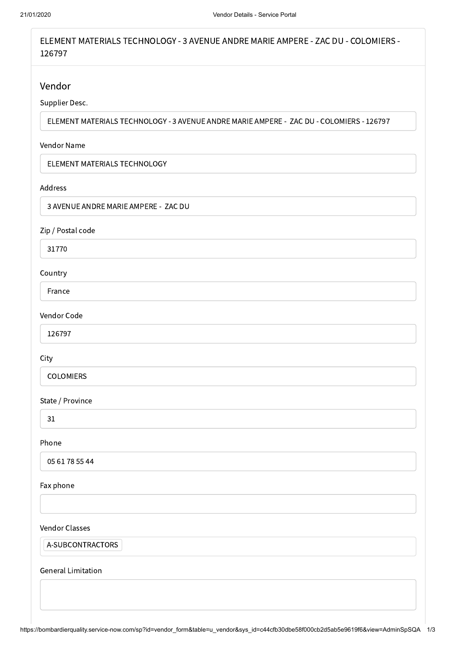ELEMENT MATERIALS TECHNOLOGY - 3 AVENUE ANDRE MARIE AMPERE - ZAC DU - COLOMIERS - 126797

# Vendor

# Supplier Desc.

ELEMENT MATERIALS TECHNOLOGY - 3 AVENUE ANDRE MARIE AMPERE - ZAC DU - COLOMIERS - 126797

#### Vendor Name

ELEMENT MATERIALS TECHNOLOGY

#### Address

3 AVENUE ANDRE MARIE AMPERE - ZAC DU

## Zip / Postal code

31770

## Country

France

## Vendor Code

126797

## City

COLOMIERS

## State / Province

31

## Phone

05 61 78 55 44

#### Fax phone

#### Vendor Classes

A-SUBCONTRACTORS

## General Limitation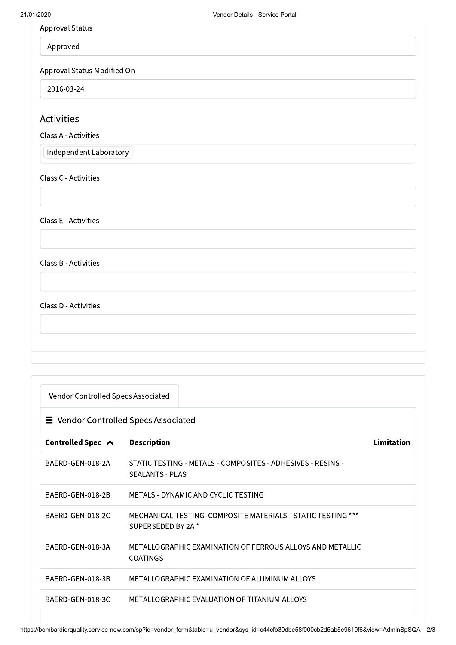Approval Status

Approved

Approval Status Modified On

2016-03-24

# Activities

Class A - Activities

Independent Laboratory

Class C - Activities

Class E - Activities

Class B - Activities

Class D - Activities

| Vendor Controlled Specs Associated          |                                                                                       |            |  |  |
|---------------------------------------------|---------------------------------------------------------------------------------------|------------|--|--|
| $\equiv$ Vendor Controlled Specs Associated |                                                                                       |            |  |  |
| Controlled Spec ∧                           | <b>Description</b>                                                                    | Limitation |  |  |
| BAERD-GEN-018-2A                            | STATIC TESTING - METALS - COMPOSITES - ADHESIVES - RESINS -<br><b>SEALANTS - PLAS</b> |            |  |  |
| BAERD-GEN-018-2B                            | METALS - DYNAMIC AND CYCLIC TESTING                                                   |            |  |  |
| BAERD-GEN-018-2C                            | MECHANICAL TESTING: COMPOSITE MATERIALS - STATIC TESTING ***<br>SUPERSEDED BY 2A *    |            |  |  |
| BAERD-GEN-018-3A                            | METALLOGRAPHIC EXAMINATION OF FERROUS ALLOYS AND METALLIC<br><b>COATINGS</b>          |            |  |  |
| BAERD-GEN-018-3B                            | METALLOGRAPHIC EXAMINATION OF ALUMINUM ALLOYS                                         |            |  |  |
| BAERD-GEN-018-3C                            | METALLOGRAPHIC EVALUATION OF TITANIUM ALLOYS                                          |            |  |  |
|                                             |                                                                                       |            |  |  |